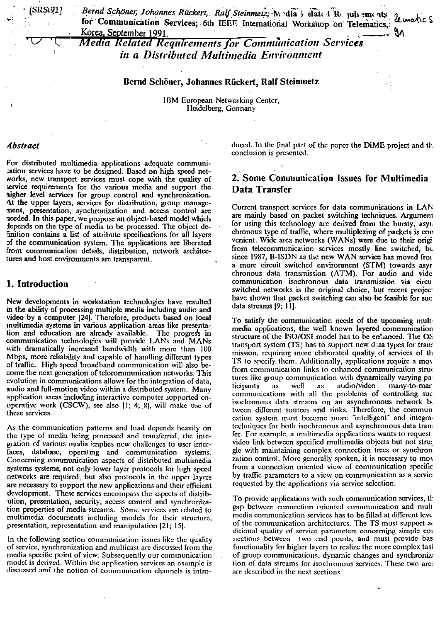[SRSt91]

Bernd Schöner, Johannes Rückert, Ralf Steinmetz; M. dia 1 elate 1 R. juii ements le mahc S for Communication Services; 6th IEEE International Workshop on Telematics, Korea, September 1991.

**Media Related Requirements for Communication Services** in a Distributed Multimedia Environment

#### Bernd Schöner, Johannes Rückert, Ralf Steinmetz

IBM European Networking Center, Heidelberg, Germany

#### Abstract

For distributed multimedia applications adequate communication services have to be designed. Based on high speed networks, new transport services must cope with the quality of service requirements for the various media and support the higher level services for group control and synchronization. At the upper layers, services for distribution, group management, presentation, synchronization and access control are needed. In this paper, we propose an object-based model which depends on the type of media to be processed. The object definition contains a list of attribute specifications for all layers of the communication system. The applications are liberated from communication details, distribution, network architectures and host environments are transparent.

## 1. Introduction

New developments in workstation technologies have resulted in the ability of processing multiple media including audio and video by a computer [24]. Therefore, products based on local multimedia systems in various application areas like presentation and education are already available. The progress in communication technologies will provide LANs and MANs with dramatically increased bandwidth with more than 100 Mbps, more reliability and capable of handling different types of traffic. High speed broadband communication will also become the next generation of telecommunication networks. This evolution in communications allows for the integration of data, audio and full-motion video within a distributed system. Many application areas including interactive computer supported cooperative work (CSCW), see also [1; 4; 8], will make use of these services.

As the communication patterns and load depends heavily on the type of media being processed and transferred, the integration of various media implies new challenges to user interfaces, database, operating and communication systems. Concerning communication aspects of distributed multimedia systems systems, not only lower layer protocols for high speed networks are required, but also protocols in the upper layers are necessary to support the new applications and their efficient development. These services encompass the aspects of distribution, presentation, security, access control and synchronization properties of media streams. Some services are related to multimedia documents including models for their structure, presentation, representation and manipulation [21; 15].

In the following section communication issues like the quality of service, synchronization and multicast are discussed from the media specific point of view. Subsequently our communication model is derived. Within the application services an example is discussed and the notion of communication channels is intro-

duced. In the final part of the paper the DiME project and the conclusion is presented.

# 2. Some Communication Issues for Multimedia Data Transfer

Current transport services for data communications in LAN are mainly based on packet switching techniques. Argument for using this technology are derived from the bursty, asyn chronous type of traffic, where multiplexing of packets is con venient. Wide area networks (WANs) were due to their origi from telecommunication services mostly line switched, but since 1987, B-ISDN as the new WAN service has moved from a more circuit switched environment (STM) towards asyr chronous data transmission (ATM). For audio and vide communication isochronous data transmission via circu switched networks is the original choice, but recent project have shown that packet switching can also be feasible for suc data streams [9; 11].

To satisfy the communication needs of the upcoming mult media applications, the well known layered communication structure of the ISO/OSI model has to be enhanced. The OS transport system (TS) has to support new data types for trans mission, requiring more claborated quality of services of th TS to specify them. Additionally, applications require a mov from communication links to enhanced communication struc tures like group communication with dynamically varying paticipants as well as audio/vidco many-to-man communications with all the problems of controlling suc isoclironous data streams on an asynchronous network bo tween different sources and sinks. Therefore, the commun cation system must become more "intelligent" and integral techniques for both isochronous and asynchronous data tran fer. For example, a multimedia applications wants to request video link between specified multimedia objects but not stru; gle with maintaining complex connection trees or synchron zation control. More generally spoken, it is necessary to mov from a connection oriented view of communication specific by traffic parameters to a view on communication as a service requested by the applications via service selection.

To provide applications with such communication services, th gap between connection oriented communication and mult media communication services has to be filled at different leve of the communication architectures. The TS must support a ditional quality of service parameters concerning simple cor nections between two end points, and must provide bas functionality for higher layers to realize the more complex tash of group communications, dynamic changes and synchronized tion of data streams for isochronous services. These two area are described in the next sections.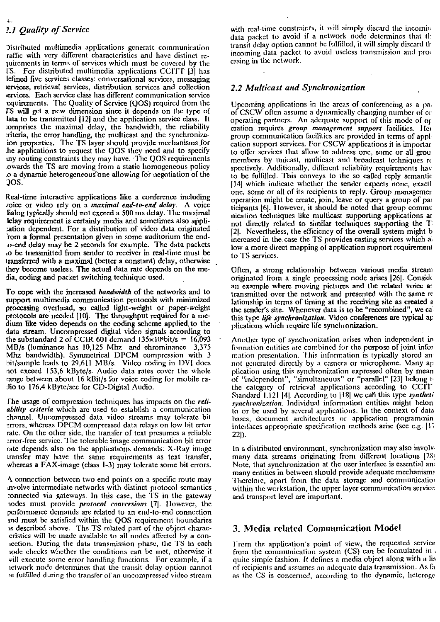# 2.1 Ouality of Service

Distributed multimedia applications generate communication raffic with very different characteristics and have distinct requirements in terms of services which must be covered by the IS. For distributed multimedia applications CCITT [3] has lefined five services classes: conversational services, messaging tervices, retrieval services, distribution services and collection services. Each service class has different communication service equirements. The Quality of Scrvice (QOS) required from the IS will get a new dimension since it depends on the type of lata to be transmitted [12] and the application service class. It comprises the maximal delay, the bandwidth, the reliability criteria, the error handling, the multicast and the synchronizaion properties. The TS layer should provide mechanisms for he applications to request the QOS they need and to specify iny routing constraints they may have. The QOS requirements owards the TS are moving from a static homogeneous policy o a dynamic heterogeneous one allowing for negotiation of the QOS.

Real-time interactive applications like a conference including voice or video rely on a *maximal end-to-end delay*. A voice lialog typically should not exceed a 500 ms delay. The maximal lelay requirement is certainly media and sometimes also appliation dependent. For a distribution of video data originated rom a formal presentation given in some auditorium the end-.o-end delay may be 2 seconds for example. The data packets to be transmitted from sender to receiver in real-time must be transferred with a maximal (better a constant) delay, otherwise they become useless. The actual data rate depends on the media, coding and packet switching technique used.

To cope with the increased bandwidth of the networks and to support multimedia communication protocols with minimized processing overhead, so called light-weight or paper-weight protocols are needed [10]. The throughput required for a medium like video depends on the coding scheme applied to the data stream. Uncompressed digital video signals according to the substandard 2 of CCIR 601 demand  $135 \times 10^{6}$ bit/s = 16,093 MB/s (luminance has 10,125 Mhz and chrominance 3,375 Mhz bandwidth). Symmetrical DPCM compression with 3 bit/sample leads to 29.611 MB/s. Video coding in DVI does not exceed 153,6 kByte/s. Audio data rates cover the whole range between about 16 kBit/s for voice coding for mobile radio to 176,4 kByte/sec for CD-Digital Audio.

The usage of compression techniques has impacts on the reliability criteria which are used to establish a communication channel. Uncompressed data video streams may tolerate bit errors, whereas DPCM compressed data relays on low bit error rate. On the other side, the transfer of text presumes a reliable error-free service. The tolerable image communication bit error rate depends also on the applications demands: X-Ray image transfer may have the same requirements as text transfer, whereas a FAX-image (class 1-3) may tolerate some bit errors.

A connection between two end points on a specific route may involve intermediate networks with distinct protocol semantics connected via gateways. In this case, the TS in the gateway nodes must provide *protocol* conversions [7]. However, the performance demands are related to an end-to-end connection and must be satisfied within the QOS requirement boundaries is described above. The TS related part of the object characcristics will be made available to all nodes affected by a conrection. During the data transmission phase, the TS in each node checks whether the conditions can be met, otherwise it will execute some error handling functions. For example, if a ictwork node determines that the transit delay option cannot be fulfilled during the transfer of an uncompressed video stream

with real-time constraints, it will simply diseard the incomindata packet to avoid if a network node determines that the transit delay option cannot be fulfilled, it will simply discard th incoming data packet to avoid uscless transmission and proc essing in the network.

## 2.2 Multicast and Synchronization

Upcoming applications in the areas of conferencing as a part of CSCW often assume a dynamically changing number of co operating partners. An adequate support of this mode of or cration requires group management support facilities. Her group communication facilities are provided in terms of appl: cation support services. For CSCW applications it is importar to offer services that allow to address one, some or all grou members by unicast, multicast and broadcast techniques respectively. Additionally, different reliability requirements hav to be fulfilled. This conveys to the so called reply semantic [14] which indicate whether the sender expects none, exactl one, some or all of its recipients to reply. Group managemer operation might be create, join, leave or query a group of par ticipants [6]. However, it should be noted that group commu nication techniques like multicast supporting applications are not directly related to similar techniques supporting the T [2]. Nevertheless, the efficiency of the overall system might b increased in the case the TS provides casting services which all low a more direct mapping of application support requirement to TS services.

Often, a strong relationship between various media stream originated from a single processing node arises [26]. Conside an example where moving pictures and the related voice at transmitted over the network and presented with the same re lationship in terms of timing at the receiving site as created a the sender's site. Whenever data is to be "recombined", we ca this type life synchronization. Video conferences are typical ap plications which require life synchronization.

Another type of synchronization arises when independent in formation entities are combined for the purpose of joint infor mation presentation. This information is typically stored an not generated directly by a camera or microphone. Many ap plication using this synchronization expressed often by mean of "independent", "simultaneous" or "parallel" [23] belong to the category of retrieval applications according to CCIT Standard 1.121 [4]. According to [18] we call this type syntheti synchronization. Individual information entities might belon to or be used by several applications. In the context of data bases, document architectures or application programmin interfaces appropriate specification methods arise (see e.g. [17]  $22$ ]).

In a distributed environment, synchronization may also involve many data streams originating from different locations [28] Note, that synchronization at the user interface is essential and many entities in between should provide adequate mechanisms Therefore, apart from the data storage and communication within the workstation, the upper layer communication service and transport level are important.

## 3. Media related Communication Model

From the application's point of view, the requested service from the communication system (CS) can be formulated in quite simple fashion. It defines a media object along with a lis of recipients and assumes an adequate data transmission. As fa as the CS is concerned, according to the dynamic, heteroge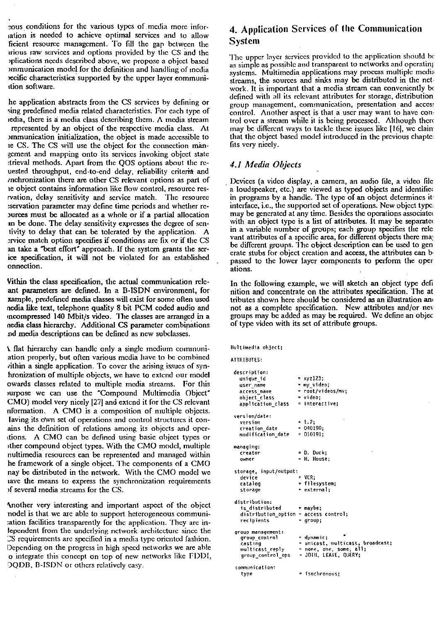cous conditions for the various types of media more inforjation is needed to achieve optimal services and to allow ficient resource management. To fill the gap between the trious raw services and options provided by the CS and the plications needs described above, we propose a object based immunication model for the definition and handling of inedia secific characteristics supported by the upper layer communiition software.

he application abstracts from the CS services by defining or sing predefined media related characteristics. For each type of iedia, there is a media class describing them. A media stream represented by an object of the respective media class. At ommunication initialization, the object is made accessible to ie CS. The CS will use the object for the connection mangement and mapping onto its services invoking object state trieval methods. Apart from the QOS options about the reuested throughput, end-to-end delay, reliability criteria and inchronization there are other CS relevant options as part of ie object contains information like flow control, resource resrvation, delay sensitivity and service match. The resource :servation parameter may define time periods and whether repurces must be allocated as a whole or if a partial allocation an be done. The delay sensitivity expresses the degree of sentivity to delay that can be tolerated by the application. A ervice match option specifies if conditions are fix or if the CS an take a "best effort" approach. If the system grants the serice specification, it will not be violated for an established onnection.

Vithin the class specification, the actual communication releant parameters are defined. In a B-ISDN environment, for xample, predefined media classes will exist for some often used nedia like text, telephone quality 8 bit PCM coded audio and incompressed 140 Mbit/s video. The classes are arranged in a nedia class hierarchy. Additional CS parameter combinations nd media descriptions can be defined as new subclasses.

If that hierarchy can handle only a single medium communiation properly, but often various media have to be combined vithin a single application. To cover the arising issues of synhronization of multiple objects, we have to extend our model owards classes related to multiple media streams. For this surpose we can use the "Compound Multimedia Object" CMO) model very nicely [27] and extend it for the CS relevant nformation. A CMO is a composition of multiple objects. laving its own set of operations and control structures it conains the definition of relations among its objects and operitions. A CMO can be defined using basic object types or other compound object types. With the CMO model, multiple nultimedia resources can be represented and managed within he framework of a single object. The components of a CMO nay be distributed in the network. With the CMO model we iave the means to express the synchronization requirements of several media streams for the CS.

Another very interesting and important aspect of the object nodel is that we are able to support heterogeneous communiation facilities transparently for the application. They are inlependent from the underlying network architecture since the CS requirements are specified in a media type oriented fashion. Depending on the progress in high speed networks we are able o integrate this concept on top of new networks like FDDI, DQDB, B-ISDN or others relatively easy.

# 4. Application Services of the Communication **System**

The upper layer services provided to the application should be as simple as possible and transparent to networks and operating systems. Multimedia applications may process multiple media streams, the sources and sinks may be distributed in the network. It is important that a media stream can conveniently be defined with all its relevant attributes for storage, distribution group management, communication, presentation and access control. Another aspect is that a user may want to have control over a stream while it is being processed. Although there may be different ways to tackle these issues like 116, we clain that the object based model introduced in the previous chapte; fits very nieely.

## 4.1 Media Objects

Devices (a video display, a camera, an audio file, a video file a loudspeaker, etc.) are viewed as typed objects and identified in programs by a handle. The type of an object determines it interface, i.e., the supported set of operations. New object type: may be generated at any time. Besides the operations associated with an object type is a list of attributes. It may be separated in a variable number of groups; each group specifies the rele vant attributes of a specific area, for different objects there may<br>be different groups. The object description can be used to gen erate stubs for object creation and access, the attributes can be passed to the lower layer components to perform the oper ations.

In the following example, we will sketch an object type definition and concentrate on the attributes specification. The at tributes shown here should be considered as an illustration and not as a complete specification. New attributes and/or nev groups may be added as may be required. We define an object of type video with its set of attribute groups.

Hultimedia object;

ATTRIBUTES:

| description:                          |                                  |
|---------------------------------------|----------------------------------|
| unique id                             | $= xyz123;$                      |
| user name                             | = my video;                      |
| access name                           | = root/videos/mv;                |
| object class                          | = video:                         |
| application class                     | = interactive:                   |
| version/date:                         |                                  |
| version                               | $= 1.2$                          |
| creation date                         | $= 040190;$                      |
| modification date                     | $= 010191$ ;                     |
| managing:                             |                                  |
| creator                               | = D. Duck:                       |
| owner                                 | - M. House;                      |
| storage, input/output:                |                                  |
| device                                | = VCR:                           |
| catalog                               | = filesystem;                    |
| storage                               | = external;                      |
| distribution:                         |                                  |
| is distributed                        | maybe:                           |
| distribution option = access control; |                                  |
| recipients                            | $=$ qroup;                       |
| group management:                     |                                  |
| group control                         | = dynamic:                       |
| cast ing                              | ≖ unicast, multicast, broadcast; |
| multicast reply                       | ≃ none, one, some, all;          |
| group control ops                     | = JOIN, LEAVE, QUERY;            |
| communication:                        |                                  |
| type                                  | ≞ isochronous:                   |
|                                       |                                  |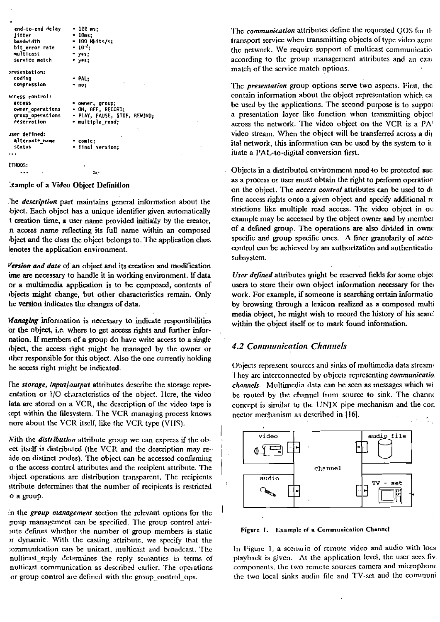```
end-to-end delay
                        -100 ms;\approx 10ms;jitter
  bandwidth
                        = 100 H<sub>b</sub>its/s;
  bit_error rate
                        -10^{2}multicast
                        = yes;
  service match
                          yes;
presentation:
  coding
                        - PAL;
  compression
                        - no:access control:
  access
                        = owner, group;
                          ON, OFF, RECORD;
  owner_operations
                        - PLAY, PAUSE, STOP, REWIND;
  group operations
  reservation
                        - multiple_read;
user defined:
  alternate_name
                           comic:
  status
                          final version;
FTHOOS:
                                \mathbf{B}
```
Example of a Video Object Definition

The description part maintains general information about the bject. Each object has a unique identifier given automatically t creation time, a user name provided initially by the ereator, n access name reflecting its full name within an composed bject and the class the object belongs to. The application class lenotes the application environment.

Version and date of an object and its creation and modification ime are necessary to handle it in working environment. If data or a multimedia application is to be composed, contents of objects might change, but other characteristics remain. Only he version indicates the changes of data.

Managing information is necessary to indicate responsibilities or the object, i.e. where to get access rights and further infornation. If members of a group do have write access to a single object, the access right might be managed by the owner or other responsible for this object. Also the one currently holding he access right might be indicated.

The storage, input/output attributes describe the storage repreentation or 1/O characteristics of the object. Here, the video lata are stored on a VCR, the description of the video tape is tept within the filesystem. The VCR managing process knows nore about the VCR itself, like the VCR type (VHS).

With the *distribution* attribute group we can express if the obect itself is distributed (the VCR and the description may reade on distinct nodes). The object can be accessed confirming o the access control attributes and the recipient attribute. The object operations are distribution transparent. The recipients ittribute determines that the number of recipients is restricted o a group.

In the group management section the relevant options for the group management can be specified. The group control attrioute defines whether the number of group members is static or dynamic. With the casting attribute, we specify that the communication can be unicast, multicast and broadcast. The nulticast reply determines the reply semantics in terms of nulticast communication as described earlier. The operations or group control are defined with the group control ops.

The *communication* attributes define the requested  $QOS$  for the transport service when transmitting objects of type video acros the network. We require support of multicast communicatio according to the group management attributes and an exac match of the service match options.

The presentation group options serve two aspects. First, the contain information about the object representation which ca be used by the applications. The second purpose is to suppor a presentation layer like function when transmitting object across the network. The video object on the VCR is a  $PA<sup>T</sup>$ video stream. When the object will be transferred across a dij ital network, this information can be used by the system to in itiate a PAL-to-digital conversion first.

Objects in a distributed environment need to be protected sucas a process or user must obtain the right to perform operation on the object. The access control attributes can be used to de fine access rights onto a given object and specify additional ro strictions like multiple read access. The video object in ou example may be accessed by the object owner and by member of a defined group. The operations are also divided in owner specific and group specific ones. A finer granularity of acces control can be achieved by an authorization and authenticatio subsystem.

User defined attributes might be reserved fields for some object users to store their own object information necessary for the work. For example, if someone is searching certain informatio by browsing through a lexicon realized as a composed multimedia object, he might wish to record the history of his searc. within the object itself or to mark found information.

## **4.2 Communication Channels**

Objects represent sources and sinks of multimedia data streams They are interconnected by objects representing communicatio. channels. Multimedia data can be seen as messages which wi be routed by the channel from source to sink. The channel concept is similar to the UNIX pipe mechanism and the con nector mechanism as described in [16].



Figure 1. Example of a Communication Channel

In Figure 1, a scenario of remote video and audio with local playback is given. At the application level, the user sees five components, the two remote sources camera and microphone the two local sinks audio file and TV-set and the communi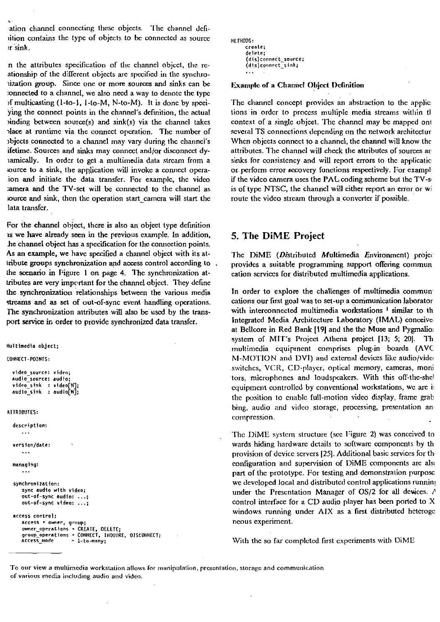ation channel connecting these objects. The channel defiition contains the type of objects to be connected as source 1rSimk.

n thc attributes spccification of tlic cliannel objcct, tlie reationship of thc d'ficrcnt objects are specificd in tlic synchroiiation group. **Sice** onc or rnore sourccs and sinks can be :onnected to a clianncl, we also necd a way to denotc thc type  $\beta$ f multicasting (1-10-1, 1-to-M, N-to-M). It is donc by speciying the connect points in the channel's definition, the actual  $\alpha$  inding between source(s) and sink(s) via the channel takes rlace at runtime via the connect operation. The number of ~bjccts connected cto a channel rnay vary during tlic elianncl's ifetime. Sources and sinks may connect and/or disconnect dyiamically. In order to get a multimedia data stream from a source to a sink, the application will invoke a connect operaion and initiate the data transfer. For example, the video camera and the TV-set will be connected to the channel as source and sink, then the operation start camera will start the lata transfcr.

For the channel object, thcre is also an object type definition 1s we have already seen in the previous example. In addition. he channel object has a specification for the connection points. As an example, we have specified a channel object with its atlribute groups synchmnization and aocess control acconling to . the scenario in Figure 1 on page 4. The synchronization atiributes **are** very important for the channel objcct. Ihey dcfinc the synchronization relationships between the various media streams and as set of out-of-sync event handling operations. **The** synchronization attributes wiU also **be** used by the transpori **service ir,** order to providc synchronized data transfcr.

**Hultinedia object;** 

**CONNECT-POINTS:** 

*L* 

```
video_source: video;
audio_sourcc: audio; 
video-sink : rldeo[N]; 
audio-sink : audio[N];
```

```
ATTRIBUTES:
```

```
dercriptlon: 
. . . 
version/date:
managing:
    ...
synchronlzatlon: 
   sync audio with video;
   out-of-sync audlo: . . .; 
   out-of-sync rtdeo: ... ; 
access rontrol: 
   accers = ovner, group; 
    mmer_operatlonr . CREATE, OELETE; 
    group_operations COIIYECT. 111qUIRE. OI5COI<NECT; 
ic~err~mode " 1-Co-many:
```

```
IIEIHOOS: 
      ~reate; 
      delete; 
       (dir)connett_source; 
       (dis)connect_sink; 
. . .
```
#### **Example of a Channel Object Definition**

The channel concept provides an abstraction to the applic: tions in order to process multiple media streams within tl context of a single object. The channel may be mapped ont scveral TS connections dcpcnding on thc network architcctur When objects connect to a channel, the channel will know the attributes. The channel will check the attributes of sources are sinks for consistency and will report errors to the application or perform error recovery funetions respectively. For examplif the vidco camera uses the PAL coding scheme but the TV-s is of typc NTSC, the channel will cither report an error or wi route the video stream through a converter if possible.

#### **5. Tlie DiME Project**

The DiME (Distributed Multimedia Environment) projection provides a suitable programming support offering commun eation services for distributed multimedia applications.

In order to explore the challenges of multimedia commun cations our first goal was to set-up a communication laborator with interconnected rnultimedia Workstations ' **similar** to th Integrated Media Architecture Laboratory (IMAL) conceive at Bcllcore in Red Rank 1191 and the thc **Muse** and Pygmalio: system of MIT's Project Athena project [13; 5; 20]. Th multimedia cquipinent comprises plug-in boards (AVC  $M-MO'I'ION$  and  $DVI$ ) and external devices like audio/vide switches, VCR, CD-player, optical memory, cameras, moni tors, microphones and loudspeakers. With this off-the-shel cquipmciit controllcd by conventional workstations, wc *are* i~ the position to enable full-motion video display, frame grab bing, audio and video storage, processing, presentation and coinpression.

The DiME system structure (see Figure 2) was conceived to wards hiding hardware details to software components by the provision of device servers [25]. Additional basic services for thconfiguration and supervision of DiME components are also part of the prototype. For testing and dcrnonstraiion purposc we developed local and distributed control applications running under the Prescntation Manager of  $OS/2$  for all devices.  $\land$ control interface for a CD audio player has been ported to  $X$ windows running under AIX as a first distributed heteroge neous experiment.

With the so far completed first experiments with DiME

To our view a multimedia workstation allows for manipulation, presentation, storage and communication **oT various media including audio and vidco.**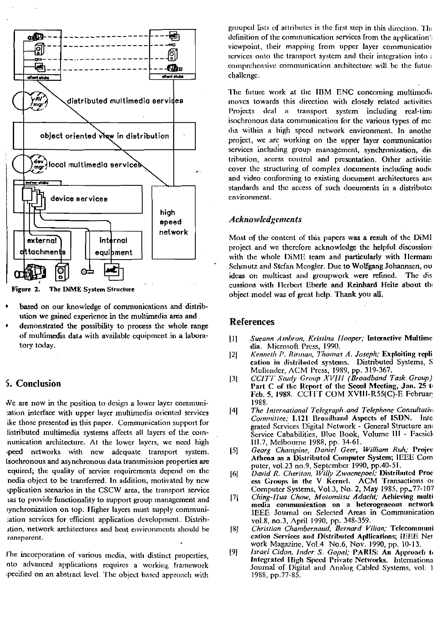

The DiME System Structure Figure 2.

- based on our knowledge of communications and distribution we gained experience in the multimedia area and
- demonstrated the possibility to process the whole range of multimedia data with available equipment in a laboratory today.

## 5. Conclusion

We are now in the position to design a lower layer communication interface with upper layer multimedia oriented services ike those presented in this paper. Communication support for listributed multimedia systems affects all layers of the comnunication architecture. At the lower layers, we need high speed networks with new adequate transport system. isochronous and asynchronous data transmission properties are equired; the quality of service requirements depend on the nedia object to be transferred. In addition, motivated by new upplication scenarios in the CSCW area, the transport service as to provide functionality to support group management and synchronization on top. Higher layers must supply communiation services for efficient application development. Distribition, network architectures and host environments should be ransparent.

The incorporation of various media, with distinct properties, nto advanced applications requires a working framework specified on an abstract level. The object based approach with

grouped lists of attributes is the first step in this direction. The definition of the communication services from the application's viewpoint, their mapping from upper layer communication services onto the transport system and their integration into  $\epsilon$ comprehensive communication architecture will be the future challenge.

The future work at the IBM ENC concerning multimedia moves towards this direction with closely related activities Projects deal a transport system including real-time isochronous data communication for the various types of media within a high speed network environment. In anotheproject, we are working on the upper laver communication services including group management, synchronization, distribution, access control and presentation. Other activities cover the structuring of complex documents including audio and video conforming to existing document architectures and standards and the access of such documents in a distributed cnvironment.

#### **Acknowledgements**

Most of the content of this papers was a result of the DiMI project and we therefore acknowledge the helpful discussion: with the whole DiME team and particularly with Hermani Schmutz and Stefan Mengler. Due to Wolfgang Johannsen, ou The disideas on multicast and groupwork were refined. cussions with Herbert Eberle and Reinhard Heite about the object model was of great help. Thank you all.

## **References**

- Sueann Ambron, Kristina Hooper; Interactive Multime  $|1|$ dia. Microsoft Press, 1990.
- Kenneth P. Birman, Thomas A. Joseph; Exploiting repli  $|2|$ cation in distributed systems. Distributed Systems, S Mullender, ACM Press, 1989, pp. 319-367.
- CCITT Study Group XVIII (Broadband Task Group)  $|3|$ Part C of the Report of the Seoul Meeting, Jan. 25 to Feb. 5, 1988. CCITT COM XVIII-R55(C)-E Februar 1988.
- The International Telegraph and Telephone Consultative  $|4|$ Committee; 1.121 Broadband Aspects of ISDN. Inte grated Services Digital Network - General Structure and Service Cababilities. Blue Book, Volume III - Facsick III.7, Melbourne 1988, pp. 34-61.
- Georg Champine, Daniel Geer, William Ruh; Projec  $[5]$ Athena as a Distributed Computer System; IEEE Com puter, vol.23 no.9, September 1990, pp.40-51.
- $[6]$ David R. Cheriton, Willy Zwaenepoel; Distributed Proc ess Groups in the V Kernel. ACM Transactions or Computer Systems, Vol.3, No. 2, May 1985, pp. 77-107
- Ching-Ilua Chow, Motomitsu Adachi; Achieving multi  $|7|$ media communication on a heterogeneous network IEEE Journal on Selected Areas in Communication vol.8, no.3, April 1990, pp. 348-359.
- Christian Chambernaud, Bernard Vilian; Telecommuni  $[8]$ cation Services and Distributed Apllications; IEEE Net work Magazine, Vol.4 No.6, Nov. 1990, pp. 10-13.
- $[9]$ Israel Cidon, Inder S. Gopal; PARIS: An Approach to Integrated High Speed Private Networks. Internationa Journal of Digital and Analog Cabled Systems, vol. 1 1988, pp.77-85.